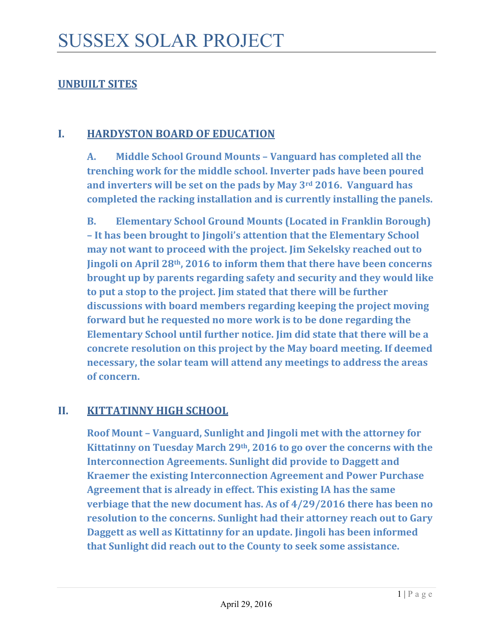## **UNBUILT SITES**

#### **I. HARDYSTON BOARD OF EDUCATION**

**A. Middle School Ground Mounts – Vanguard has completed all the trenching work for the middle school. Inverter pads have been poured and inverters will be set on the pads by May 3rd 2016. Vanguard has completed the racking installation and is currently installing the panels.**

**B. Elementary School Ground Mounts (Located in Franklin Borough) – It has been brought to Jingoli's attention that the Elementary School may not want to proceed with the project. Jim Sekelsky reached out to Jingoli on April 28th, 2016 to inform them that there have been concerns brought up by parents regarding safety and security and they would like to put a stop to the project. Jim stated that there will be further discussions with board members regarding keeping the project moving forward but he requested no more work is to be done regarding the Elementary School until further notice. Jim did state that there will be a concrete resolution on this project by the May board meeting. If deemed necessary, the solar team will attend any meetings to address the areas of concern.** 

#### **II. KITTATINNY HIGH SCHOOL**

**Roof Mount – Vanguard, Sunlight and Jingoli met with the attorney for Kittatinny on Tuesday March 29th, 2016 to go over the concerns with the Interconnection Agreements. Sunlight did provide to Daggett and Kraemer the existing Interconnection Agreement and Power Purchase Agreement that is already in effect. This existing IA has the same verbiage that the new document has. As of 4/29/2016 there has been no resolution to the concerns. Sunlight had their attorney reach out to Gary Daggett as well as Kittatinny for an update. Jingoli has been informed that Sunlight did reach out to the County to seek some assistance.**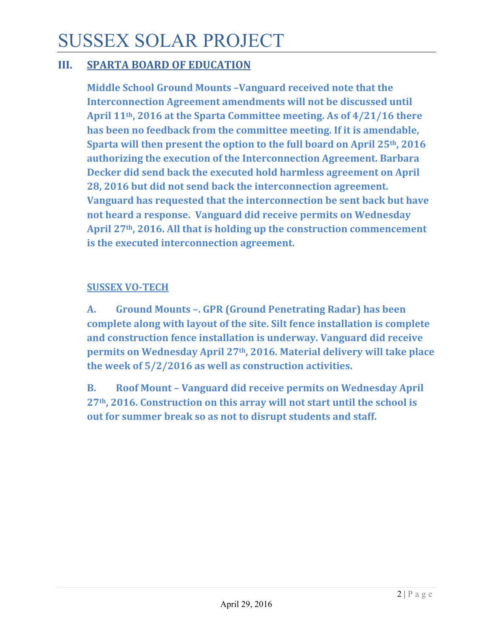# SUSSEX SOLAR PROJECT

## **III. SPARTA BOARD OF EDUCATION**

**Middle School Ground Mounts –Vanguard received note that the Interconnection Agreement amendments will not be discussed until April 11th, 2016 at the Sparta Committee meeting. As of 4/21/16 there has been no feedback from the committee meeting. If it is amendable, Sparta will then present the option to the full board on April 25th, 2016 authorizing the execution of the Interconnection Agreement. Barbara Decker did send back the executed hold harmless agreement on April 28, 2016 but did not send back the interconnection agreement. Vanguard has requested that the interconnection be sent back but have not heard a response. Vanguard did receive permits on Wednesday April 27th, 2016. All that is holding up the construction commencement is the executed interconnection agreement.** 

#### **SUSSEX VO‐TECH**

**A. Ground Mounts –. GPR (Ground Penetrating Radar) has been complete along with layout of the site. Silt fence installation is complete and construction fence installation is underway. Vanguard did receive permits on Wednesday April 27th, 2016. Material delivery will take place the week of 5/2/2016 as well as construction activities.** 

**B. Roof Mount – Vanguard did receive permits on Wednesday April 27th, 2016. Construction on this array will not start until the school is out for summer break so as not to disrupt students and staff.**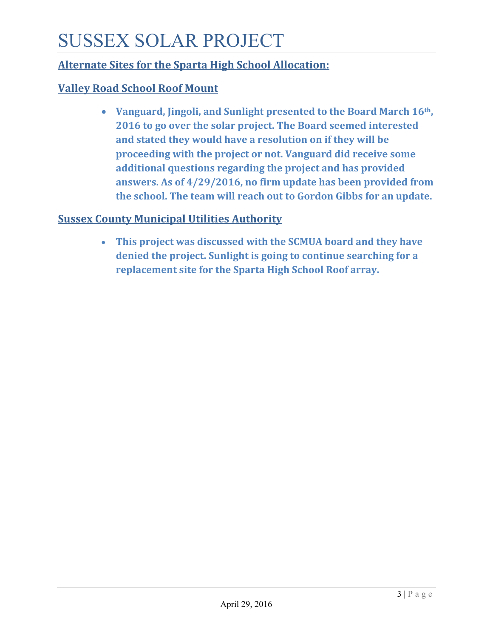# SUSSEX SOLAR PROJECT

# **Alternate Sites for the Sparta High School Allocation:**

# **Valley Road School Roof Mount**

 **Vanguard, Jingoli, and Sunlight presented to the Board March 16th, 2016 to go over the solar project. The Board seemed interested and stated they would have a resolution on if they will be proceeding with the project or not. Vanguard did receive some additional questions regarding the project and has provided answers. As of 4/29/2016, no firm update has been provided from the school. The team will reach out to Gordon Gibbs for an update.** 

## **Sussex County Municipal Utilities Authority**

 **This project was discussed with the SCMUA board and they have denied the project. Sunlight is going to continue searching for a replacement site for the Sparta High School Roof array.**